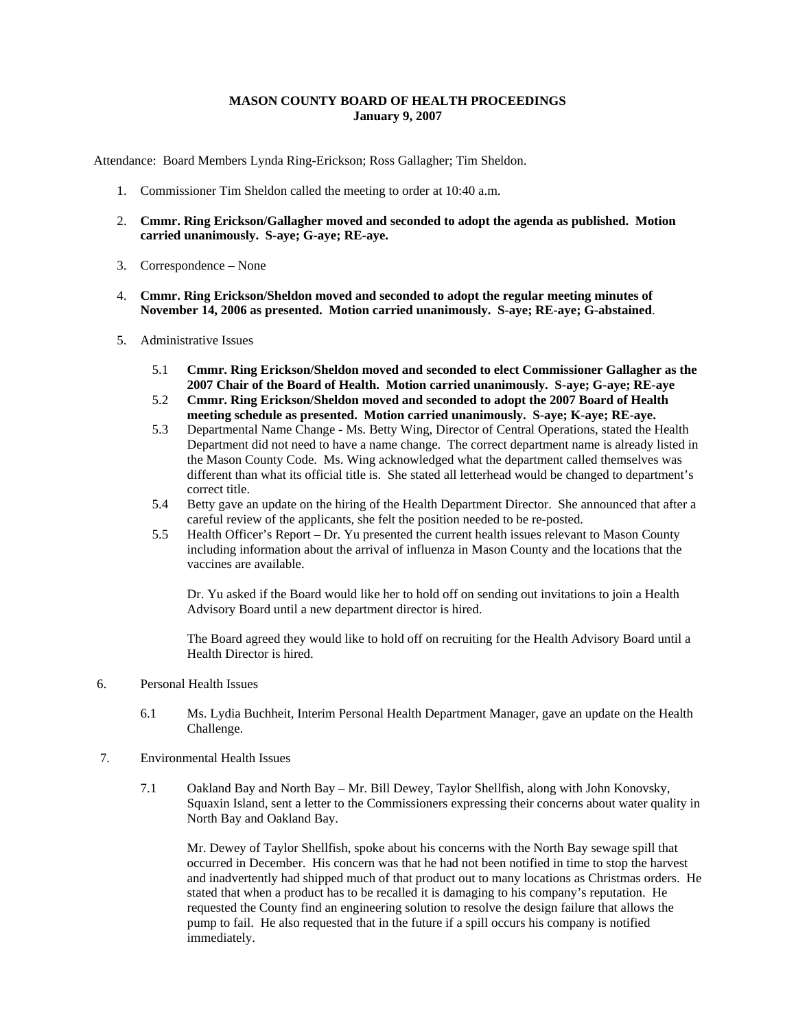## **MASON COUNTY BOARD OF HEALTH PROCEEDINGS January 9, 2007**

Attendance: Board Members Lynda Ring-Erickson; Ross Gallagher; Tim Sheldon.

- 1. Commissioner Tim Sheldon called the meeting to order at 10:40 a.m.
- 2. **Cmmr. Ring Erickson/Gallagher moved and seconded to adopt the agenda as published. Motion carried unanimously. S-aye; G-aye; RE-aye.**
- 3. Correspondence None
- 4. **Cmmr. Ring Erickson/Sheldon moved and seconded to adopt the regular meeting minutes of November 14, 2006 as presented. Motion carried unanimously. S-aye; RE-aye; G-abstained**.
- 5. Administrative Issues
	- 5.1 **Cmmr. Ring Erickson/Sheldon moved and seconded to elect Commissioner Gallagher as the 2007 Chair of the Board of Health. Motion carried unanimously. S-aye; G-aye; RE-aye**
	- 5.2 **Cmmr. Ring Erickson/Sheldon moved and seconded to adopt the 2007 Board of Health meeting schedule as presented. Motion carried unanimously. S-aye; K-aye; RE-aye.**
	- 5.3 Departmental Name Change Ms. Betty Wing, Director of Central Operations, stated the Health Department did not need to have a name change. The correct department name is already listed in the Mason County Code. Ms. Wing acknowledged what the department called themselves was different than what its official title is. She stated all letterhead would be changed to department's correct title.
	- 5.4 Betty gave an update on the hiring of the Health Department Director. She announced that after a careful review of the applicants, she felt the position needed to be re-posted.
	- 5.5 Health Officer's Report Dr. Yu presented the current health issues relevant to Mason County including information about the arrival of influenza in Mason County and the locations that the vaccines are available.

Dr. Yu asked if the Board would like her to hold off on sending out invitations to join a Health Advisory Board until a new department director is hired.

The Board agreed they would like to hold off on recruiting for the Health Advisory Board until a Health Director is hired.

- 6. Personal Health Issues
	- 6.1 Ms. Lydia Buchheit, Interim Personal Health Department Manager, gave an update on the Health Challenge.
- 7. Environmental Health Issues
	- 7.1 Oakland Bay and North Bay Mr. Bill Dewey, Taylor Shellfish, along with John Konovsky, Squaxin Island, sent a letter to the Commissioners expressing their concerns about water quality in North Bay and Oakland Bay.

Mr. Dewey of Taylor Shellfish, spoke about his concerns with the North Bay sewage spill that occurred in December. His concern was that he had not been notified in time to stop the harvest and inadvertently had shipped much of that product out to many locations as Christmas orders. He stated that when a product has to be recalled it is damaging to his company's reputation. He requested the County find an engineering solution to resolve the design failure that allows the pump to fail. He also requested that in the future if a spill occurs his company is notified immediately.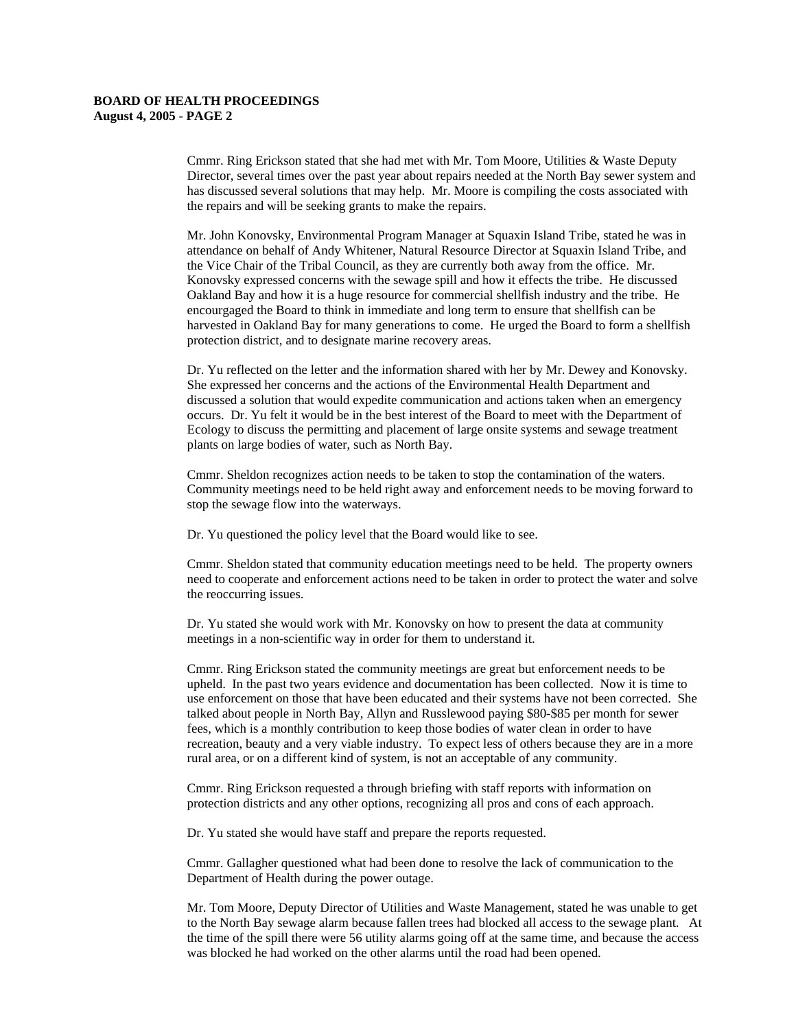Cmmr. Ring Erickson stated that she had met with Mr. Tom Moore, Utilities & Waste Deputy Director, several times over the past year about repairs needed at the North Bay sewer system and has discussed several solutions that may help. Mr. Moore is compiling the costs associated with the repairs and will be seeking grants to make the repairs.

Mr. John Konovsky, Environmental Program Manager at Squaxin Island Tribe, stated he was in attendance on behalf of Andy Whitener, Natural Resource Director at Squaxin Island Tribe, and the Vice Chair of the Tribal Council, as they are currently both away from the office. Mr. Konovsky expressed concerns with the sewage spill and how it effects the tribe. He discussed Oakland Bay and how it is a huge resource for commercial shellfish industry and the tribe. He encourgaged the Board to think in immediate and long term to ensure that shellfish can be harvested in Oakland Bay for many generations to come. He urged the Board to form a shellfish protection district, and to designate marine recovery areas.

Dr. Yu reflected on the letter and the information shared with her by Mr. Dewey and Konovsky. She expressed her concerns and the actions of the Environmental Health Department and discussed a solution that would expedite communication and actions taken when an emergency occurs. Dr. Yu felt it would be in the best interest of the Board to meet with the Department of Ecology to discuss the permitting and placement of large onsite systems and sewage treatment plants on large bodies of water, such as North Bay.

Cmmr. Sheldon recognizes action needs to be taken to stop the contamination of the waters. Community meetings need to be held right away and enforcement needs to be moving forward to stop the sewage flow into the waterways.

Dr. Yu questioned the policy level that the Board would like to see.

Cmmr. Sheldon stated that community education meetings need to be held. The property owners need to cooperate and enforcement actions need to be taken in order to protect the water and solve the reoccurring issues.

Dr. Yu stated she would work with Mr. Konovsky on how to present the data at community meetings in a non-scientific way in order for them to understand it.

Cmmr. Ring Erickson stated the community meetings are great but enforcement needs to be upheld. In the past two years evidence and documentation has been collected. Now it is time to use enforcement on those that have been educated and their systems have not been corrected. She talked about people in North Bay, Allyn and Russlewood paying \$80-\$85 per month for sewer fees, which is a monthly contribution to keep those bodies of water clean in order to have recreation, beauty and a very viable industry. To expect less of others because they are in a more rural area, or on a different kind of system, is not an acceptable of any community.

Cmmr. Ring Erickson requested a through briefing with staff reports with information on protection districts and any other options, recognizing all pros and cons of each approach.

Dr. Yu stated she would have staff and prepare the reports requested.

Cmmr. Gallagher questioned what had been done to resolve the lack of communication to the Department of Health during the power outage.

Mr. Tom Moore, Deputy Director of Utilities and Waste Management, stated he was unable to get to the North Bay sewage alarm because fallen trees had blocked all access to the sewage plant. At the time of the spill there were 56 utility alarms going off at the same time, and because the access was blocked he had worked on the other alarms until the road had been opened.